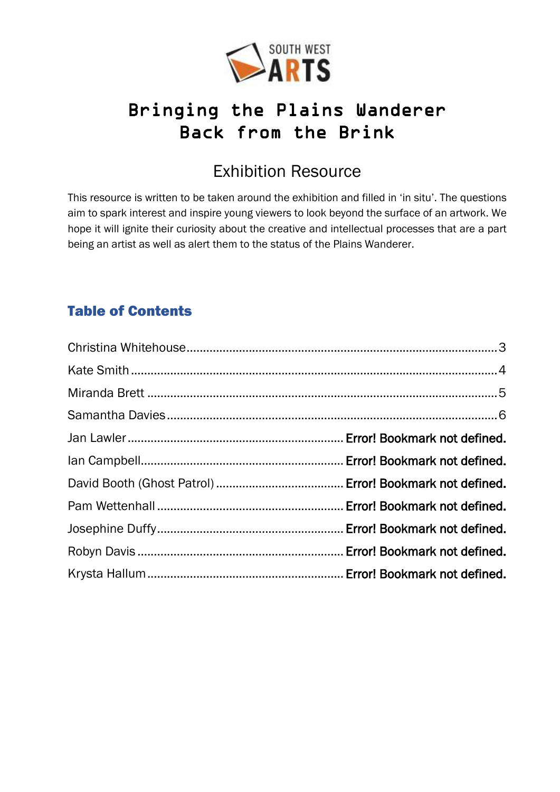

# Bringing the Plains Wanderer Back from the Brink

# Exhibition Resource

This resource is written to be taken around the exhibition and filled in 'in situ'. The questions aim to spark interest and inspire young viewers to look beyond the surface of an artwork. We hope it will ignite their curiosity about the creative and intellectual processes that are a part being an artist as well as alert them to the status of the Plains Wanderer.

### Table of Contents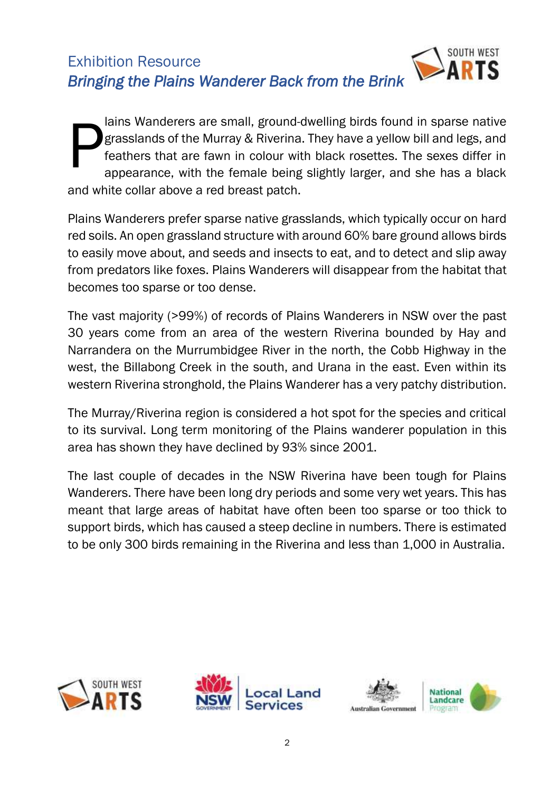

lains Wanderers are small, ground-dwelling birds found in sparse native grasslands of the Murray & Riverina. They have a yellow bill and legs, and feathers that are fawn in colour with black rosettes. The sexes differ in appearance, with the female being slightly larger, and she has a black and white collar above a red breast patch. P

Plains Wanderers prefer sparse native grasslands, which typically occur on hard red soils. An open grassland structure with around 60% bare ground allows birds to easily move about, and seeds and insects to eat, and to detect and slip away from predators like foxes. Plains Wanderers will disappear from the habitat that becomes too sparse or too dense.

The vast majority (>99%) of records of Plains Wanderers in NSW over the past 30 years come from an area of the western Riverina bounded by Hay and Narrandera on the Murrumbidgee River in the north, the Cobb Highway in the west, the Billabong Creek in the south, and Urana in the east. Even within its western Riverina stronghold, the Plains Wanderer has a very patchy distribution.

The Murray/Riverina region is considered a hot spot for the species and critical to its survival. Long term monitoring of the Plains wanderer population in this area has shown they have declined by 93% since 2001.

The last couple of decades in the NSW Riverina have been tough for Plains Wanderers. There have been long dry periods and some very wet years. This has meant that large areas of habitat have often been too sparse or too thick to support birds, which has caused a steep decline in numbers. There is estimated to be only 300 birds remaining in the Riverina and less than 1,000 in Australia.





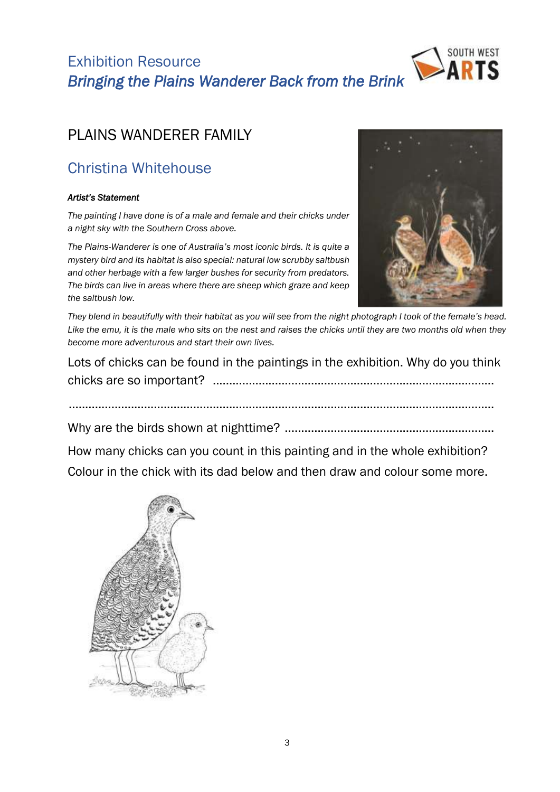

## PLAINS WANDERER FAMILY

# <span id="page-2-0"></span>Christina Whitehouse

#### *Artist's Statement*

*The painting I have done is of a male and female and their chicks under a night sky with the Southern Cross above.* 

*The Plains-Wanderer is one of Australia's most iconic birds. It is quite a mystery bird and its habitat is also special: natural low scrubby saltbush and other herbage with a few larger bushes for security from predators. The birds can live in areas where there are sheep which graze and keep the saltbush low.* 



*They blend in beautifully with their habitat as you will see from the night photograph I took of the female's head.*  Like the emu, it is the male who sits on the nest and raises the chicks until they are two months old when they *become more adventurous and start their own lives.*

Lots of chicks can be found in the paintings in the exhibition. Why do you think chicks are so important? ......................................................................................

..................................................................................................................................

Why are the birds shown at nighttime? ................................................................

How many chicks can you count in this painting and in the whole exhibition? Colour in the chick with its dad below and then draw and colour some more.

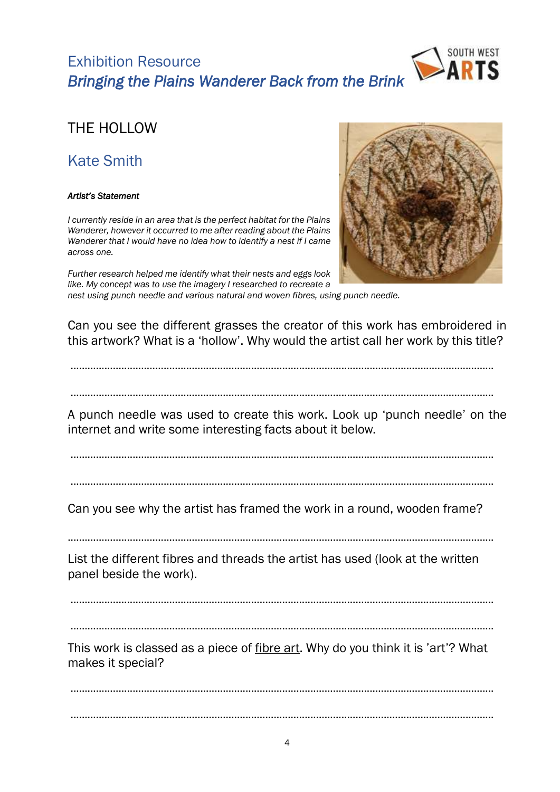

### THE HOLLOW

## <span id="page-3-0"></span>Kate Smith

#### *Artist's Statement*

*I currently reside in an area that is the perfect habitat for the Plains Wanderer, however it occurred to me after reading about the Plains Wanderer that I would have no idea how to identify a nest if I came across one.* 



*Further research helped me identify what their nests and eggs look like. My concept was to use the imagery I researched to recreate a* 

*nest using punch needle and various natural and woven fibres, using punch needle.*

Can you see the different grasses the creator of this work has embroidered in this artwork? What is a 'hollow'. Why would the artist call her work by this title?

......................................................................................................................................................

......................................................................................................................................................

A punch needle was used to create this work. Look up 'punch needle' on the internet and write some interesting facts about it below.

......................................................................................................................................................

......................................................................................................................................................

Can you see why the artist has framed the work in a round, wooden frame?

.......................................................................................................................................................

List the different fibres and threads the artist has used (look at the written panel beside the work).

......................................................................................................................................................

......................................................................................................................................................

This work is classed as a piece of fibre art. Why do you think it is 'art'? What makes it special?

...................................................................................................................................................... ......................................................................................................................................................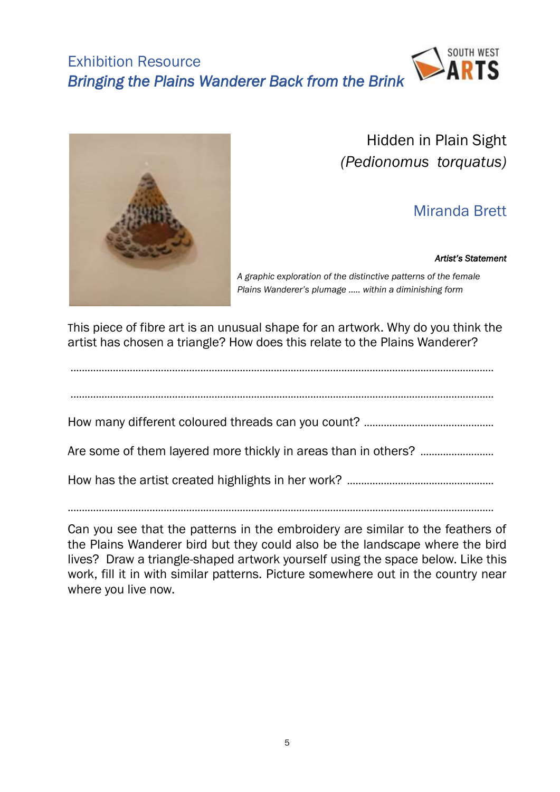



Hidden in Plain Sight *(Pedionomus torquatus)*

# Miranda Brett

#### *Artist's Statement*

<span id="page-4-0"></span>*A graphic exploration of the distinctive patterns of the female Plains Wanderer's plumage ….. within a diminishing form*

This piece of fibre art is an unusual shape for an artwork. Why do you think the artist has chosen a triangle? How does this relate to the Plains Wanderer?

...................................................................................................................................................... ...................................................................................................................................................... How many different coloured threads can you count? .............................................. Are some of them layered more thickly in areas than in others? .......................... How has the artist created highlights in her work? .................................................... .......................................................................................................................................................

Can you see that the patterns in the embroidery are similar to the feathers of the Plains Wanderer bird but they could also be the landscape where the bird lives? Draw a triangle-shaped artwork yourself using the space below. Like this work, fill it in with similar patterns. Picture somewhere out in the country near where you live now.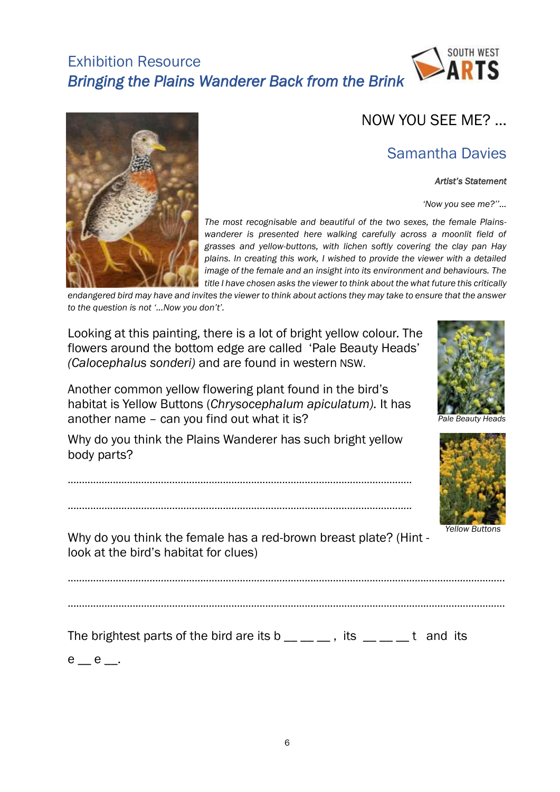



### Samantha Davies

#### *Artist's Statement*

*'Now you see me?''…*



<span id="page-5-0"></span>*The most recognisable and beautiful of the two sexes, the female Plainswanderer is presented here walking carefully across a moonlit field of grasses and yellow-buttons, with lichen softly covering the clay pan Hay plains. In creating this work, I wished to provide the viewer with a detailed image of the female and an insight into its environment and behaviours. The title I have chosen asks the viewer to think about the what future this critically* 

*endangered bird may have and invites the viewer to think about actions they may take to ensure that the answer to the question is not '…Now you don't'.* 

Looking at this painting, there is a lot of bright yellow colour. The flowers around the bottom edge are called 'Pale Beauty Heads' *(Calocephalus sonderi)* and are found in western NSW.

Another common yellow flowering plant found in the bird's habitat is Yellow Buttons (*Chrysocephalum apiculatum).* It has another name – can you find out what it is?

Why do you think the Plains Wanderer has such bright yellow body parts?

..........................................................................................................................

..........................................................................................................................







*Yellow Buttons*

Why do you think the female has a red-brown breast plate? (Hint look at the bird's habitat for clues)

...........................................................................................................................................................

...........................................................................................................................................................

The brightest parts of the bird are its b  $\_\_\_\_\_\_\_$ , its  $\_\_\_\_\_$ t and its

 $e$   $_e$   $_e$   $_e$   $_e$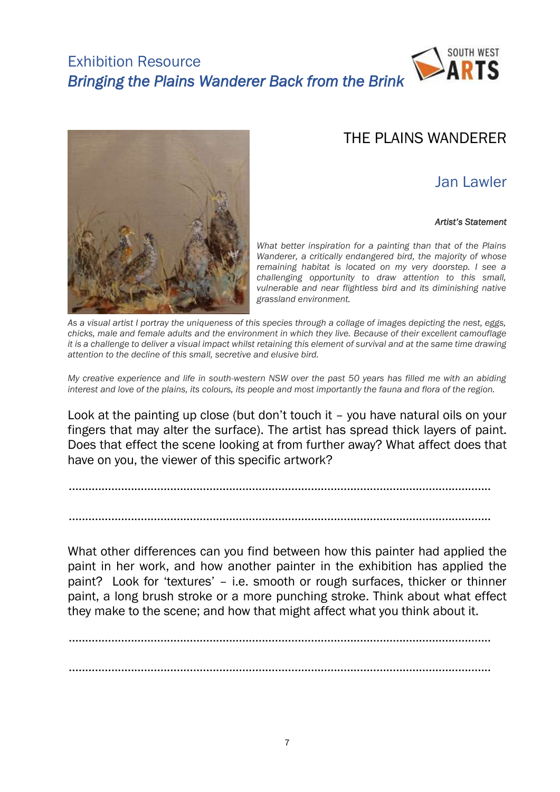



### THE PI AINS WANDERER

### Jan Lawler

#### *Artist's Statement*

*What better inspiration for a painting than that of the Plains Wanderer, a critically endangered bird, the majority of whose remaining habitat is located on my very doorstep. I see a challenging opportunity to draw attention to this small, vulnerable and near flightless bird and its diminishing native grassland environment.*

*As a visual artist I portray the uniqueness of this species through a collage of images depicting the nest, eggs, chicks, male and female adults and the environment in which they live. Because of their excellent camouflage it is a challenge to deliver a visual impact whilst retaining this element of survival and at the same time drawing attention to the decline of this small, secretive and elusive bird.*

*My creative experience and life in south-western NSW over the past 50 years has filled me with an abiding interest and love of the plains, its colours, its people and most importantly the fauna and flora of the region.*

Look at the painting up close (but don't touch it – you have natural oils on your fingers that may alter the surface). The artist has spread thick layers of paint. Does that effect the scene looking at from further away? What affect does that have on you, the viewer of this specific artwork?

.................................................................................................................................

.................................................................................................................................

What other differences can you find between how this painter had applied the paint in her work, and how another painter in the exhibition has applied the paint? Look for 'textures' – i.e. smooth or rough surfaces, thicker or thinner paint, a long brush stroke or a more punching stroke. Think about what effect they make to the scene; and how that might affect what you think about it.

................................................................................................................................. .................................................................................................................................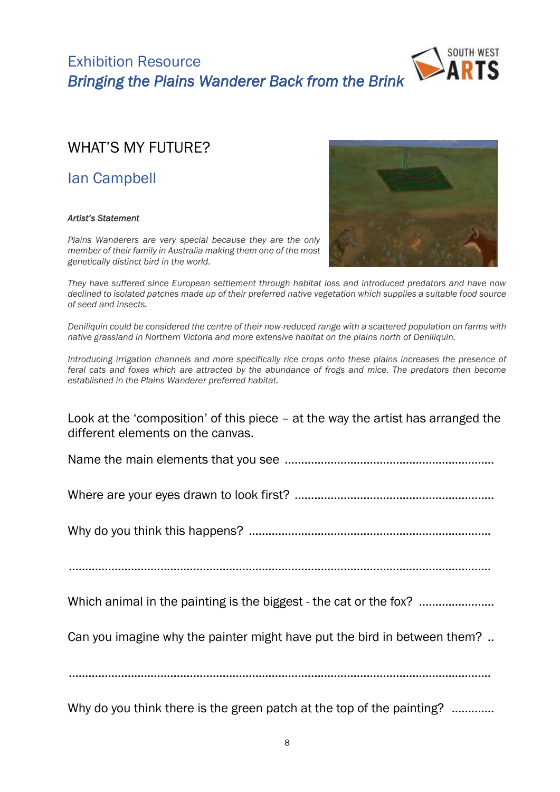



### WHAT'S MY FUTURE?

Ian Campbell

#### *Artist's Statement*

*Plains Wanderers are very special because they are the only member of their family in Australia making them one of the most genetically distinct bird in the world.* 



*Deniliquin could be considered the centre of their now-reduced range with a scattered population on farms with native grassland in Northern Victoria and more extensive habitat on the plains north of Deniliquin.* 

*Introducing irrigation channels and more specifically rice crops onto these plains increases the presence of feral cats and foxes which are attracted by the abundance of frogs and mice. The predators then become established in the Plains Wanderer preferred habitat.* 

Look at the 'composition' of this piece – at the way the artist has arranged the different elements on the canvas.

Name the main elements that you see ................................................................

Where are your eyes drawn to look first? .............................................................

Why do you think this happens? ..........................................................................

.................................................................................................................................

Which animal in the painting is the biggest - the cat or the fox? .......................

Can you imagine why the painter might have put the bird in between them? ..

.................................................................................................................................

Why do you think there is the green patch at the top of the painting? .............

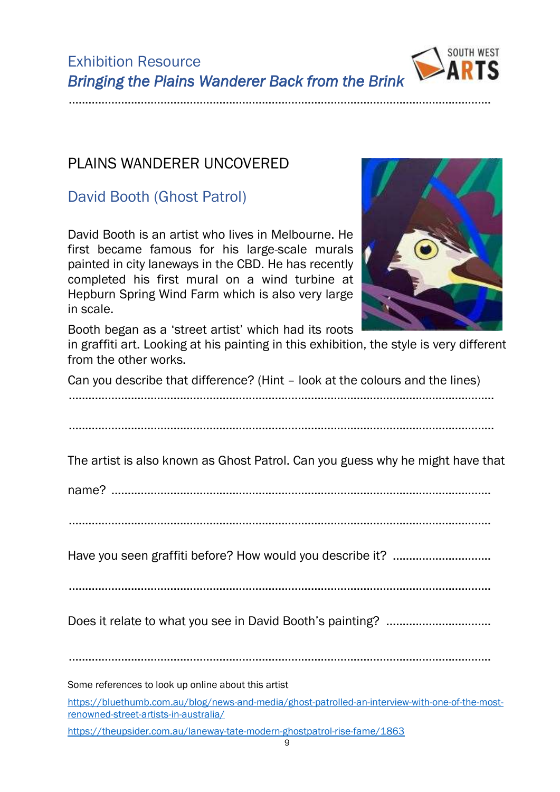................................................................................................................................. Some references to look up online about this artist [https://bluethumb.com.au/blog/news-and-media/ghost-patrolled-an-interview-with-one-of-the-most](https://bluethumb.com.au/blog/news-and-media/ghost-patrolled-an-interview-with-one-of-the-most-renowned-street-artists-in-australia/)[renowned-street-artists-in-australia/](https://bluethumb.com.au/blog/news-and-media/ghost-patrolled-an-interview-with-one-of-the-most-renowned-street-artists-in-australia/)

Have you seen graffiti before? How would you describe it? ..............................

Does it relate to what you see in David Booth's painting? ................................

<https://theupsider.com.au/laneway-tate-modern-ghostpatrol-rise-fame/1863>



Exhibition Resource *Bringing the Plains Wanderer Back from the Brink* 

.................................................................................................................................

**SOUTH WEST**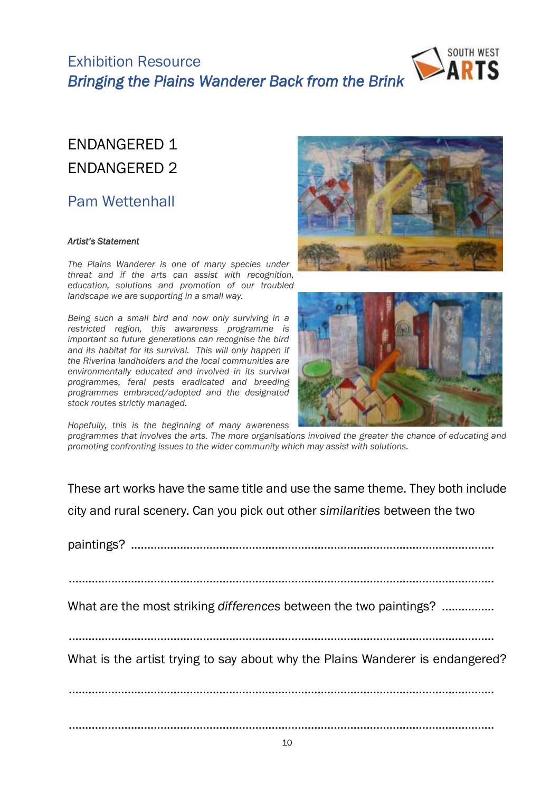



# ENDANGERED 1 ENDANGERED 2

### Pam Wettenhall

#### *Artist's Statement*

*The Plains Wanderer is one of many species under threat and if the arts can assist with recognition, education, solutions and promotion of our troubled landscape we are supporting in a small way.* 

*Being such a small bird and now only surviving in a restricted region, this awareness programme is important so future generations can recognise the bird and its habitat for its survival. This will only happen if the Riverina landholders and the local communities are environmentally educated and involved in its survival programmes, feral pests eradicated and breeding programmes embraced/adopted and the designated stock routes strictly managed.*





*Hopefully, this is the beginning of many awareness* 

*programmes that involves the arts. The more organisations involved the greater the chance of educating and promoting confronting issues to the wider community which may assist with solutions.*

These art works have the same title and use the same theme. They both include city and rural scenery. Can you pick out other *similarities* between the two

paintings? ...............................................................................................................

What are the most striking *differences* between the two paintings? .................

..................................................................................................................................

What is the artist trying to say about why the Plains Wanderer is endangered?

..................................................................................................................................

..................................................................................................................................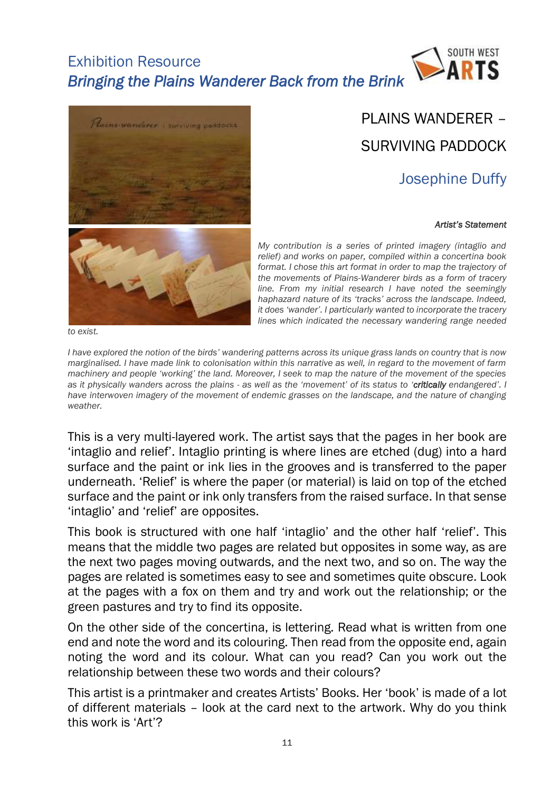



# PLAINS WANDERER – SURVIVING PADDOCK

# Josephine Duffy

#### *Artist's Statement*



*to exist.*

*My contribution is a series of printed imagery (intaglio and relief) and works on paper, compiled within a concertina book format. I chose this art format in order to map the trajectory of the movements of Plains-Wanderer birds as a form of tracery line. From my initial research I have noted the seemingly haphazard nature of its 'tracks' across the landscape. Indeed, it does 'wander'. I particularly wanted to incorporate the tracery lines which indicated the necessary wandering range needed* 

*I* have explored the notion of the birds<sup>*'*</sup> wandering patterns across its unique grass lands on country that is now *marginalised. I have made link to colonisation within this narrative as well, in regard to the movement of farm machinery and people 'working' the land. Moreover, I seek to map the nature of the movement of the species as it physically wanders across the plains - as well as the 'movement' of its status to 'critically endangered'. I have interwoven imagery of the movement of endemic grasses on the landscape, and the nature of changing weather.* 

This is a very multi-layered work. The artist says that the pages in her book are 'intaglio and relief'. Intaglio printing is where lines are etched (dug) into a hard surface and the paint or ink lies in the grooves and is transferred to the paper underneath. 'Relief' is where the paper (or material) is laid on top of the etched surface and the paint or ink only transfers from the raised surface. In that sense 'intaglio' and 'relief' are opposites.

This book is structured with one half 'intaglio' and the other half 'relief'. This means that the middle two pages are related but opposites in some way, as are the next two pages moving outwards, and the next two, and so on. The way the pages are related is sometimes easy to see and sometimes quite obscure. Look at the pages with a fox on them and try and work out the relationship; or the green pastures and try to find its opposite.

On the other side of the concertina, is lettering. Read what is written from one end and note the word and its colouring. Then read from the opposite end, again noting the word and its colour. What can you read? Can you work out the relationship between these two words and their colours?

This artist is a printmaker and creates Artists' Books. Her 'book' is made of a lot of different materials – look at the card next to the artwork. Why do you think this work is 'Art'?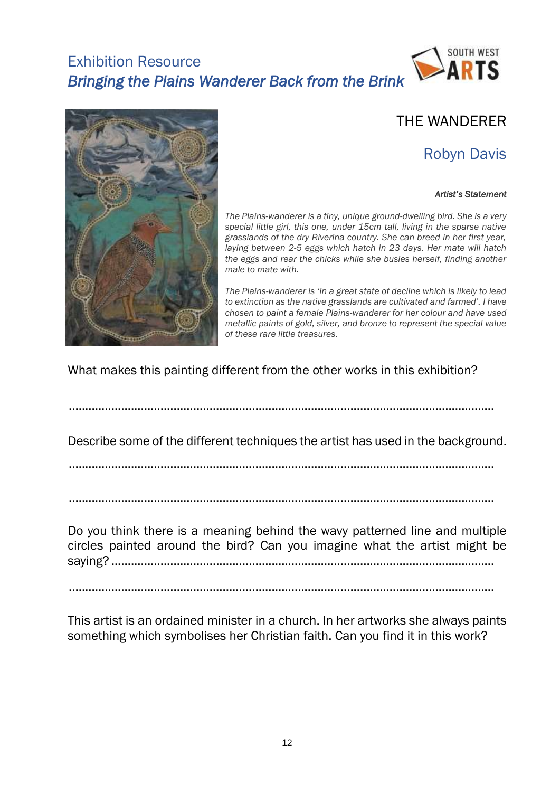



### THE WANDERER

# Robyn Davis

#### *Artist's Statement*

*The Plains-wanderer is a tiny, unique ground-dwelling bird. She is a very special little girl, this one, under 15cm tall, living in the sparse native grasslands of the dry Riverina country. She can breed in her first year, laying between 2-5 eggs which hatch in 23 days. Her mate will hatch the eggs and rear the chicks while she busies herself, finding another male to mate with.* 

*The Plains-wanderer is 'in a great state of decline which is likely to lead to extinction as the native grasslands are cultivated and farmed'. I have chosen to paint a female Plains-wanderer for her colour and have used metallic paints of gold, silver, and bronze to represent the special value of these rare little treasures.* 

What makes this painting different from the other works in this exhibition?

..................................................................................................................................

Describe some of the different techniques the artist has used in the background.

..................................................................................................................................

..................................................................................................................................

Do you think there is a meaning behind the wavy patterned line and multiple circles painted around the bird? Can you imagine what the artist might be saying? .....................................................................................................................

..................................................................................................................................

This artist is an ordained minister in a church. In her artworks she always paints something which symbolises her Christian faith. Can you find it in this work?